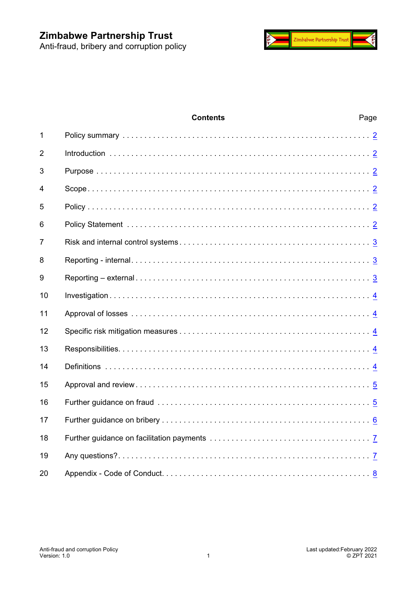

# **Contents** Page Policy summary . . . . . . . . . . . . . . . . . . . . . . . . . . . . . . . . . . . . . . . . . . . . . . . . . . . . . . . . . [2](#page-1-0) Introduction . . . . . . . . . . . . . . . . . . . . . . . . . . . . . . . . . . . . . . . . . . . . . . . . . . . . . . . . . . . . [2](#page-1-1) Purpose . . . . . . . . . . . . . . . . . . . . . . . . . . . . . . . . . . . . . . . . . . . . . . . . . . . . . . . . . . . . . . . [2](#page-1-2) Scope. . . . . . . . . . . . . . . . . . . . . . . . . . . . . . . . . . . . . . . . . . . . . . . . . . . . . . . . . . . . . . . . . [2](#page-1-3) Policy . . . . . . . . . . . . . . . . . . . . . . . . . . . . . . . . . . . . . . . . . . . . . . . . . . . . . . . . . . . . . . . . . [2](#page-1-4) Policy Statement . . . . . . . . . . . . . . . . . . . . . . . . . . . . . . . . . . . . . . . . . . . . . . . . . . . . . . . . [2](#page-1-5) Risk and internal control systems . . . . . . . . . . . . . . . . . . . . . . . . . . . . . . . . . . . . . . . . . . . . [3](#page-2-0) Reporting - internal. . . . . . . . . . . . . . . . . . . . . . . . . . . . . . . . . . . . . . . . . . . . . . . . . . . . . . . [3](#page-2-1) Reporting – external . . . . . . . . . . . . . . . . . . . . . . . . . . . . . . . . . . . . . . . . . . . . . . . . . . . . . . [3](#page-2-2) Investigation . . . . . . . . . . . . . . . . . . . . . . . . . . . . . . . . . . . . . . . . . . . . . . . . . . . . . . . . . . . . [4](#page-3-0) Approval of losses . . . . . . . . . . . . . . . . . . . . . . . . . . . . . . . . . . . . . . . . . . . . . . . . . . . . . . . [4](#page-3-1) Specific risk mitigation measures . . . . . . . . . . . . . . . . . . . . . . . . . . . . . . . . . . . . . . . . . . . . [4](#page-3-2) Responsibilities. . . . . . . . . . . . . . . . . . . . . . . . . . . . . . . . . . . . . . . . . . . . . . . . . . . . . . . . . . [4](#page-3-3) Definitions . . . . . . . . . . . . . . . . . . . . . . . . . . . . . . . . . . . . . . . . . . . . . . . . . . . . . . . . . . . . . [4](#page-3-4) Approval and review . . . . . . . . . . . . . . . . . . . . . . . . . . . . . . . . . . . . . . . . . . . . . . . . . . . . . . [5](#page-4-0) Further guidance on fraud . . . . . . . . . . . . . . . . . . . . . . . . . . . . . . . . . . . . . . . . . . . . . . . . . [5](#page-4-1) Further guidance on bribery . . . . . . . . . . . . . . . . . . . . . . . . . . . . . . . . . . . . . . . . . . . . . . . . [6](#page-5-0) Further guidance on facilitation payments . . . . . . . . . . . . . . . . . . . . . . . . . . . . . . . . . . . . . [7](#page-6-0) Any questions?. . . . . . . . . . . . . . . . . . . . . . . . . . . . . . . . . . . . . . . . . . . . . . . . . . . . . . . . . . [7](#page-6-1) Appendix - Code of Conduct. . . . . . . . . . . . . . . . . . . . . . . . . . . . . . . . . . . . . . . . . . . . . . . . [8](#page-7-0)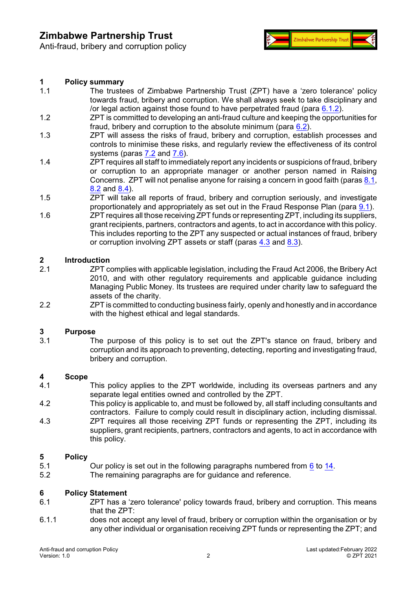Anti-fraud, bribery and corruption policy



#### <span id="page-1-0"></span>**1 Policy summary**

- 1.1 The trustees of Zimbabwe Partnership Trust (ZPT) have a 'zero tolerance' policy towards fraud, bribery and corruption. We shall always seek to take disciplinary and /or legal action against those found to have perpetrated fraud (para [6.1.2](#page-2-3)).
- 1.2 ZPT is committed to developing an anti-fraud culture and keeping the opportunities for fraud, bribery and corruption to the absolute minimum (para  $6.2$ ).
- 1.3 ZPT will assess the risks of fraud, bribery and corruption, establish processes and controls to minimise these risks, and regularly review the effectiveness of its control systems (paras [7.2](#page-2-5) and [7.6](#page-2-6)).
- 1.4 ZPT requires all staff to immediately report any incidents or suspicions of fraud, bribery or corruption to an appropriate manager or another person named in Raising Concerns. ZPT will not penalise anyone for raising a concern in good faith (paras [8.1](#page-2-7), [8.2](#page-2-8) and [8.4](#page-2-9)).
- 1.5 ZPT will take all reports of fraud, bribery and corruption seriously, and investigate proportionately and appropriately as set out in the Fraud Response Plan (para [9.1](#page-2-10)).
- 1.6 ZPT requires all those receiving ZPT funds or representing ZPT, including its suppliers, grant recipients, partners, contractors and agents, to act in accordance with this policy. This includes reporting to the ZPT any suspected or actual instances of fraud, bribery or corruption involving ZPT assets or staff (paras [4.3](#page-1-6) and [8.3](#page-2-11)).

#### <span id="page-1-1"></span>**2 Introduction**

- 2.1 ZPT complies with applicable legislation, including the Fraud Act 2006, the Bribery Act 2010, and with other regulatory requirements and applicable guidance including Managing Public Money. Its trustees are required under charity law to safeguard the assets of the charity.
- 2.2 ZPT is committed to conducting business fairly, openly and honestly and in accordance with the highest ethical and legal standards.

# <span id="page-1-2"></span>**3 Purpose**

The purpose of this policy is to set out the ZPT's stance on fraud, bribery and corruption and its approach to preventing, detecting, reporting and investigating fraud, bribery and corruption.

#### <span id="page-1-3"></span>**4 Scope**

- 4.1 This policy applies to the ZPT worldwide, including its overseas partners and any separate legal entities owned and controlled by the ZPT.
- 4.2 This policy is applicable to, and must be followed by, all staff including consultants and contractors. Failure to comply could result in disciplinary action, including dismissal.
- <span id="page-1-6"></span>4.3 ZPT requires all those receiving ZPT funds or representing the ZPT, including its suppliers, grant recipients, partners, contractors and agents, to act in accordance with this policy.

#### <span id="page-1-4"></span>**5 Policy**

- 5.1 Our policy is set out in the following paragraphs numbered from [6](#page-1-5) to [14](#page-3-4).
- 5.2 The remaining paragraphs are for guidance and reference.

## <span id="page-1-5"></span>**6 Policy Statement**

- ZPT has a 'zero tolerance' policy towards fraud, bribery and corruption. This means that the ZPT:
- 6.1.1 does not accept any level of fraud, bribery or corruption within the organisation or by any other individual or organisation receiving ZPT funds or representing the ZPT; and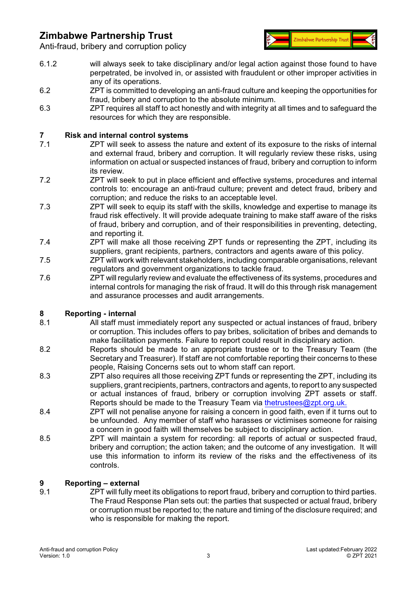

Anti-fraud, bribery and corruption policy

- <span id="page-2-3"></span>6.1.2 will always seek to take disciplinary and/or legal action against those found to have perpetrated, be involved in, or assisted with fraudulent or other improper activities in any of its operations.
- <span id="page-2-4"></span>6.2 ZPT is committed to developing an anti-fraud culture and keeping the opportunities for fraud, bribery and corruption to the absolute minimum.
- 6.3 ZPT requires all staff to act honestly and with integrity at all times and to safeguard the resources for which they are responsible.

# <span id="page-2-0"></span>**7 Risk and internal control systems**

- ZPT will seek to assess the nature and extent of its exposure to the risks of internal and external fraud, bribery and corruption. It will regularly review these risks, using information on actual or suspected instances of fraud, bribery and corruption to inform its review.
- <span id="page-2-5"></span>7.2 ZPT will seek to put in place efficient and effective systems, procedures and internal controls to: encourage an anti-fraud culture; prevent and detect fraud, bribery and corruption; and reduce the risks to an acceptable level.
- 7.3 ZPT will seek to equip its staff with the skills, knowledge and expertise to manage its fraud risk effectively. It will provide adequate training to make staff aware of the risks of fraud, bribery and corruption, and of their responsibilities in preventing, detecting, and reporting it.
- 7.4 ZPT will make all those receiving ZPT funds or representing the ZPT, including its suppliers, grant recipients, partners, contractors and agents aware of this policy.
- 7.5 ZPT will work with relevant stakeholders, including comparable organisations, relevant regulators and government organizations to tackle fraud.
- <span id="page-2-6"></span>7.6 ZPT will regularly review and evaluate the effectiveness of its systems, procedures and internal controls for managing the risk of fraud. It will do this through risk management and assurance processes and audit arrangements.

### <span id="page-2-1"></span>**8 Reporting - internal**

- <span id="page-2-7"></span>8.1 All staff must immediately report any suspected or actual instances of fraud, bribery or corruption. This includes offers to pay bribes, solicitation of bribes and demands to make facilitation payments. Failure to report could result in disciplinary action.
- <span id="page-2-8"></span>8.2 Reports should be made to an appropriate trustee or to the Treasury Team (the Secretary and Treasurer). If staff are not comfortable reporting their concerns to these people, Raising Concerns sets out to whom staff can report.
- <span id="page-2-11"></span>8.3 ZPT also requires all those receiving ZPT funds or representing the ZPT, including its suppliers, grant recipients, partners, contractors and agents, to report to any suspected or actual instances of fraud, bribery or corruption involving ZPT assets or staff. Reports should be made to the Treasury Team via [thetrustees@zpt.org.uk.](mailto:thetrustees@zpt.org.uk.)
- <span id="page-2-9"></span>8.4 ZPT will not penalise anyone for raising a concern in good faith, even if it turns out to be unfounded. Any member of staff who harasses or victimises someone for raising a concern in good faith will themselves be subject to disciplinary action.
- 8.5 ZPT will maintain a system for recording: all reports of actual or suspected fraud, bribery and corruption; the action taken; and the outcome of any investigation. It will use this information to inform its review of the risks and the effectiveness of its controls.

#### <span id="page-2-2"></span>**9 Reporting – external**

<span id="page-2-10"></span>9.1 ZPT will fully meet its obligations to report fraud, bribery and corruption to third parties. The Fraud Response Plan sets out: the parties that suspected or actual fraud, bribery or corruption must be reported to; the nature and timing of the disclosure required; and who is responsible for making the report.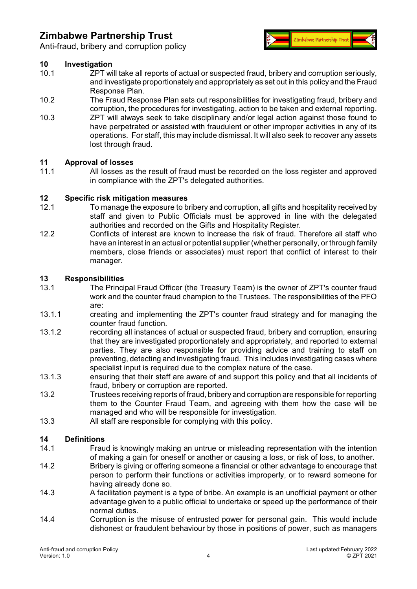

Anti-fraud, bribery and corruption policy

#### <span id="page-3-0"></span>**10 Investigation**

- 10.1 ZPT will take all reports of actual or suspected fraud, bribery and corruption seriously, and investigate proportionately and appropriately as set out in this policy and the Fraud Response Plan.
- 10.2 The Fraud Response Plan sets out responsibilities for investigating fraud, bribery and corruption, the procedures for investigating, action to be taken and external reporting.
- 10.3 ZPT will always seek to take disciplinary and/or legal action against those found to have perpetrated or assisted with fraudulent or other improper activities in any of its operations. For staff, this may include dismissal. It will also seek to recover any assets lost through fraud.

#### <span id="page-3-1"></span>**11 Approval of losses**

11.1 All losses as the result of fraud must be recorded on the loss register and approved in compliance with the ZPT's delegated authorities.

## <span id="page-3-2"></span>**12 Specific risk mitigation measures**

- <span id="page-3-6"></span>To manage the exposure to bribery and corruption, all gifts and hospitality received by staff and given to Public Officials must be approved in line with the delegated authorities and recorded on the Gifts and Hospitality Register.
- <span id="page-3-5"></span>12.2 Conflicts of interest are known to increase the risk of fraud. Therefore all staff who have an interest in an actual or potential supplier (whether personally, or through family members, close friends or associates) must report that conflict of interest to their manager.

# <span id="page-3-3"></span>**13 Responsibilities**

- The Principal Fraud Officer (the Treasury Team) is the owner of ZPT's counter fraud work and the counter fraud champion to the Trustees. The responsibilities of the PFO are:
- 13.1.1 creating and implementing the ZPT's counter fraud strategy and for managing the counter fraud function.
- 13.1.2 recording all instances of actual or suspected fraud, bribery and corruption, ensuring that they are investigated proportionately and appropriately, and reported to external parties. They are also responsible for providing advice and training to staff on preventing, detecting and investigating fraud. This includes investigating cases where specialist input is required due to the complex nature of the case.
- 13.1.3 ensuring that their staff are aware of and support this policy and that all incidents of fraud, bribery or corruption are reported.
- 13.2 Trustees receiving reports of fraud, bribery and corruption are responsible for reporting them to the Counter Fraud Team, and agreeing with them how the case will be managed and who will be responsible for investigation.
- 13.3 All staff are responsible for complying with this policy.

### <span id="page-3-4"></span>**14 Definitions**

- 14.1 Fraud is knowingly making an untrue or misleading representation with the intention of making a gain for oneself or another or causing a loss, or risk of loss, to another.
- 14.2 Bribery is giving or offering someone a financial or other advantage to encourage that person to perform their functions or activities improperly, or to reward someone for having already done so.
- 14.3 A facilitation payment is a type of bribe. An example is an unofficial payment or other advantage given to a public official to undertake or speed up the performance of their normal duties.
- 14.4 Corruption is the misuse of entrusted power for personal gain. This would include dishonest or fraudulent behaviour by those in positions of power, such as managers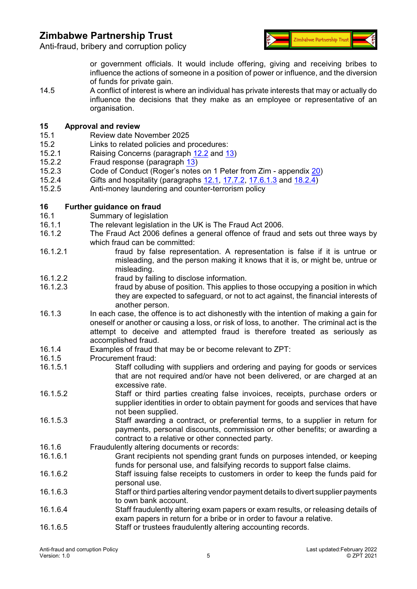Anti-fraud, bribery and corruption policy



or government officials. It would include offering, giving and receiving bribes to influence the actions of someone in a position of power or influence, and the diversion of funds for private gain.

14.5 A conflict of interest is where an individual has private interests that may or actually do influence the decisions that they make as an employee or representative of an organisation.

# <span id="page-4-0"></span>**15 Approval and review**

- Review date November 2025
- 15.2 Links to related policies and procedures:
- 15.2.1 Raising Concerns (paragraph [12.2](#page-3-5) and [13](#page-3-3))
- 15.2.2 Fraud response (paragraph [13](#page-3-3))
- 15.2.3 Code of Conduct (Roger's notes on 1 Peter from Zim appendix [20](#page-7-0))<br>15.2.4 Gifts and hospitality (paragraphs 12.1, 17.7.2, 17.6.1.3 and 18.2.4)
- Gifts and hospitality (paragraphs [12.1](#page-3-6), [17.7.2](#page-6-2), [17.6.1.3](#page-5-1) and  $18.2.\overline{4)}$
- 15.2.5 Anti-money laundering and counter-terrorism policy

# <span id="page-4-1"></span>**16 • Further guidance on fraud**<br>**16.1** • Summary of legislatic

- Summary of legislation
- 16.1.1 The relevant legislation in the UK is The Fraud Act 2006.
- 16.1.2 The Fraud Act 2006 defines a general offence of fraud and sets out three ways by which fraud can be committed:
- 16.1.2.1 fraud by false representation. A representation is false if it is untrue or misleading, and the person making it knows that it is, or might be, untrue or misleading.
- 16.1.2.2 fraud by failing to disclose information.
- 16.1.2.3 fraud by abuse of position. This applies to those occupying a position in which they are expected to safeguard, or not to act against, the financial interests of another person.
- 16.1.3 In each case, the offence is to act dishonestly with the intention of making a gain for oneself or another or causing a loss, or risk of loss, to another. The criminal act is the attempt to deceive and attempted fraud is therefore treated as seriously as accomplished fraud.
- 16.1.4 Examples of fraud that may be or become relevant to ZPT:
- 16.1.5 Procurement fraud:
- 16.1.5.1 Staff colluding with suppliers and ordering and paying for goods or services that are not required and/or have not been delivered, or are charged at an excessive rate.
- 16.1.5.2 Staff or third parties creating false invoices, receipts, purchase orders or supplier identities in order to obtain payment for goods and services that have not been supplied.
- 16.1.5.3 Staff awarding a contract, or preferential terms, to a supplier in return for payments, personal discounts, commission or other benefits; or awarding a contract to a relative or other connected party.
- 16.1.6 Fraudulently altering documents or records:
- Grant recipients not spending grant funds on purposes intended, or keeping funds for personal use, and falsifying records to support false claims.
- 16.1.6.2 Staff issuing false receipts to customers in order to keep the funds paid for personal use.
- 16.1.6.3 Staff or third parties altering vendor payment details to divert supplier payments to own bank account.
- 16.1.6.4 Staff fraudulently altering exam papers or exam results, or releasing details of exam papers in return for a bribe or in order to favour a relative.
- 16.1.6.5 Staff or trustees fraudulently altering accounting records.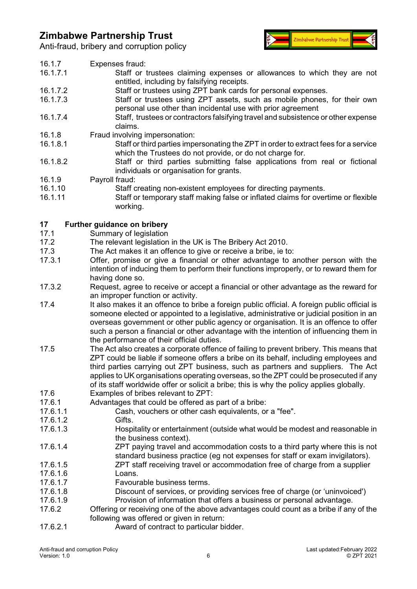Anti-fraud, bribery and corruption policy



<span id="page-5-1"></span><span id="page-5-0"></span>

| 16.1.7                           | Expenses fraud:                                                                              |
|----------------------------------|----------------------------------------------------------------------------------------------|
| 16.1.7.1                         | Staff or trustees claiming expenses or allowances to which they are not                      |
|                                  | entitled, including by falsifying receipts.                                                  |
| 16.1.7.2                         | Staff or trustees using ZPT bank cards for personal expenses.                                |
|                                  |                                                                                              |
| 16.1.7.3                         | Staff or trustees using ZPT assets, such as mobile phones, for their own                     |
|                                  | personal use other than incidental use with prior agreement                                  |
| 16.1.7.4                         | Staff, trustees or contractors falsifying travel and subsistence or other expense            |
|                                  | claims.                                                                                      |
| 16.1.8                           | Fraud involving impersonation:                                                               |
|                                  |                                                                                              |
| 16.1.8.1                         | Staff or third parties impersonating the ZPT in order to extract fees for a service          |
|                                  | which the Trustees do not provide, or do not charge for.                                     |
| 16.1.8.2                         | Staff or third parties submitting false applications from real or fictional                  |
|                                  | individuals or organisation for grants.                                                      |
| 16.1.9                           | Payroll fraud:                                                                               |
| 16.1.10                          |                                                                                              |
|                                  | Staff creating non-existent employees for directing payments.                                |
| 16.1.11                          | Staff or temporary staff making false or inflated claims for overtime or flexible            |
|                                  | working.                                                                                     |
|                                  |                                                                                              |
| 17                               | <b>Further guidance on bribery</b>                                                           |
| 17.1                             | Summary of legislation                                                                       |
|                                  |                                                                                              |
| 17.2                             | The relevant legislation in the UK is The Bribery Act 2010.                                  |
| 17.3                             | The Act makes it an offence to give or receive a bribe, ie to:                               |
| 17.3.1                           | Offer, promise or give a financial or other advantage to another person with the             |
|                                  | intention of inducing them to perform their functions improperly, or to reward them for      |
|                                  | having done so.                                                                              |
| 17.3.2                           |                                                                                              |
|                                  | Request, agree to receive or accept a financial or other advantage as the reward for         |
|                                  | an improper function or activity.                                                            |
| 17.4                             | It also makes it an offence to bribe a foreign public official. A foreign public official is |
|                                  | someone elected or appointed to a legislative, administrative or judicial position in an     |
|                                  | overseas government or other public agency or organisation. It is an offence to offer        |
|                                  | such a person a financial or other advantage with the intention of influencing them in       |
|                                  |                                                                                              |
|                                  | the performance of their official duties.                                                    |
| 17.5                             | The Act also creates a corporate offence of failing to prevent bribery. This means that      |
|                                  | ZPT could be liable if someone offers a bribe on its behalf, including employees and         |
|                                  | third parties carrying out ZPT business, such as partners and suppliers. The Act             |
|                                  | applies to UK organisations operating overseas, so the ZPT could be prosecuted if any        |
|                                  | of its staff worldwide offer or solicit a bribe; this is why the policy applies globally.    |
|                                  |                                                                                              |
| 17.6                             | Examples of bribes relevant to ZPT:                                                          |
| 17.6.1                           | Advantages that could be offered as part of a bribe:                                         |
| 17.6.1.1                         | Cash, vouchers or other cash equivalents, or a "fee".                                        |
| 17.6.1.2                         | Gifts.                                                                                       |
| 17.6.1.3                         | Hospitality or entertainment (outside what would be modest and reasonable in                 |
|                                  | the business context).                                                                       |
|                                  |                                                                                              |
| 17.6.1.4                         | ZPT paying travel and accommodation costs to a third party where this is not                 |
|                                  | standard business practice (eg not expenses for staff or exam invigilators).                 |
| 17.6.1.5                         | ZPT staff receiving travel or accommodation free of charge from a supplier                   |
| 17.6.1.6                         | Loans.                                                                                       |
| 17.6.1.7                         | Favourable business terms.                                                                   |
| 17.6.1.8                         |                                                                                              |
|                                  | Discount of services, or providing services free of charge (or 'uninvoiced')                 |
| 17.6.1.9                         | Provision of information that offers a business or personal advantage.                       |
| 17.6.2                           | Offering or receiving one of the above advantages could count as a bribe if any of the       |
|                                  | following was offered or given in return:                                                    |
| 17.6.2.1                         | Award of contract to particular bidder.                                                      |
|                                  |                                                                                              |
|                                  |                                                                                              |
| Anti-fraud and corruption Policy | Last updated: February 2022                                                                  |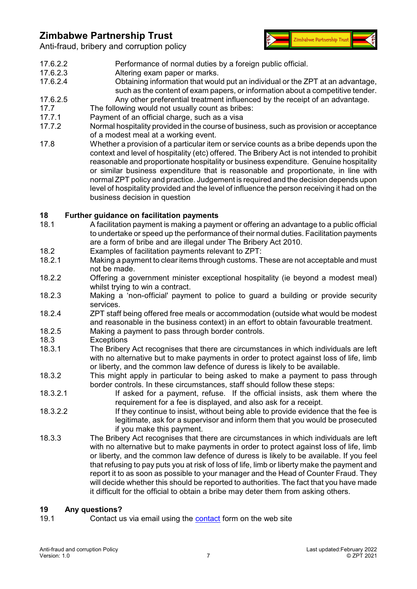

Anti-fraud, bribery and corruption policy

- 17.6.2.2 Performance of normal duties by a foreign public official.
- 17.6.2.3 Altering exam paper or marks.<br>17.6.2.4 Obtaining information that would
- Obtaining information that would put an individual or the ZPT at an advantage, such as the content of exam papers, or information about a competitive tender.
- 17.6.2.5 Any other preferential treatment influenced by the receipt of an advantage.
- 17.7 The following would not usually count as bribes:<br>17.7.1 Payment of an official charge, such as a visa
- 17.7.1 Payment of an official charge, such as a visa<br>17.7.2 Normal hospitality provided in the course of bus
- <span id="page-6-2"></span>Normal hospitality provided in the course of business, such as provision or acceptance of a modest meal at a working event.
- 17.8 Whether a provision of a particular item or service counts as a bribe depends upon the context and level of hospitality (etc) offered. The Bribery Act is not intended to prohibit reasonable and proportionate hospitality or business expenditure. Genuine hospitality or similar business expenditure that is reasonable and proportionate, in line with normal ZPT policy and practice. Judgement is required and the decision depends upon level of hospitality provided and the level of influence the person receiving it had on the business decision in question

### <span id="page-6-0"></span>**18 Further guidance on facilitation payments**

- 18.1 A facilitation payment is making a payment or offering an advantage to a public official to undertake or speed up the performance of their normal duties. Facilitation payments are a form of bribe and are illegal under The Bribery Act 2010.
- 18.2 Examples of facilitation payments relevant to ZPT:
- 18.2.1 Making a payment to clear items through customs. These are not acceptable and must not be made.
- 18.2.2 Offering a government minister exceptional hospitality (ie beyond a modest meal) whilst trying to win a contract.
- 18.2.3 Making a 'non-official' payment to police to guard a building or provide security services.
- <span id="page-6-3"></span>18.2.4 ZPT staff being offered free meals or accommodation (outside what would be modest and reasonable in the business context) in an effort to obtain favourable treatment.
- 18.2.5 Making a payment to pass through border controls.
- 18.3 Exceptions
- 18.3.1 The Bribery Act recognises that there are circumstances in which individuals are left with no alternative but to make payments in order to protect against loss of life, limb or liberty, and the common law defence of duress is likely to be available.
- 18.3.2 This might apply in particular to being asked to make a payment to pass through border controls. In these circumstances, staff should follow these steps:
- 18.3.2.1 If asked for a payment, refuse. If the official insists, ask them where the requirement for a fee is displayed, and also ask for a receipt.
- 18.3.2.2 If they continue to insist, without being able to provide evidence that the fee is legitimate, ask for a supervisor and inform them that you would be prosecuted if you make this payment.
- 18.3.3 The Bribery Act recognises that there are circumstances in which individuals are left with no alternative but to make payments in order to protect against loss of life, limb or liberty, and the common law defence of duress is likely to be available. If you feel that refusing to pay puts you at risk of loss of life, limb or liberty make the payment and report it to as soon as possible to your manager and the Head of Counter Fraud. They will decide whether this should be reported to authorities. The fact that you have made it difficult for the official to obtain a bribe may deter them from asking others.

#### <span id="page-6-1"></span>**19 Any questions?**

19.1 Contact us via email using the [contact](https://www.zpt.org.uk/contact/) form on the web site